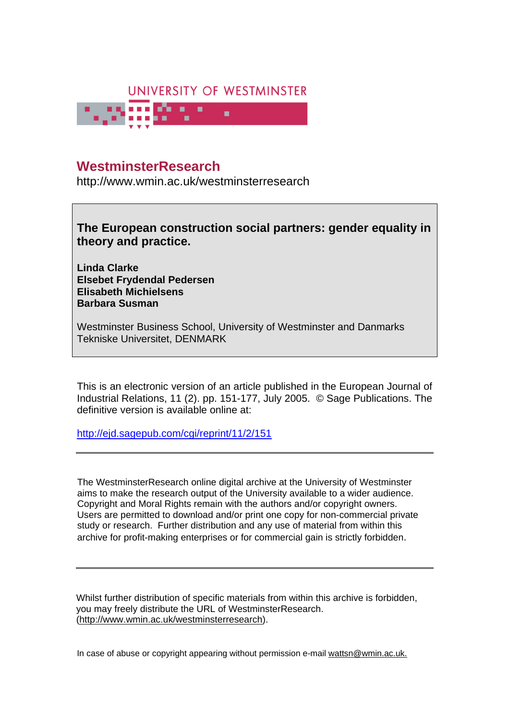

# **University of Westminster Eprints WestminsterResearch**

http://www.wmin.ac.uk/westminsterresearch

**The European construction social partners: gender equality in theory and practice.** 

**Linda Clarke Elsebet Frydendal Pedersen Elisabeth Michielsens Barbara Susman** 

Westminster Business School, University of Westminster and Danmarks Tekniske Universitet, DENMARK

This is an electronic version of an article published in the European Journal of Industrial Relations, 11 (2). pp. 151-177, July 2005. © Sage Publications. The definitive version is available online at:

http://ejd.sagepub.com/cgi/reprint/11/2/151

The WestminsterResearch online digital archive at the University of Westminster aims to make the research output of the University available to a wider audience. Copyright and Moral Rights remain with the authors and/or copyright owners. Users are permitted to download and/or print one copy for non-commercial private Users are permitted to download and/or print one copy for non-commercial private study or research. Further distribution and any use of material from within this study or research. Further distribution and any use of material from within this archive for profit-making enterprises or for commercial gain is strictly forbidden. archive for profit-making enterprises or for commercial gain is strictly forbidden.

Whilst further distribution of specific materials from within this archive is forbidden, Whilst further distribution of specific materials from within this archive is forbidden, you may freely distribute the URL of WestminsterResearch. (http://www.wmin.ac.uk/westminsterresearch).

In case of abuse or copyright appearing without permission e-mail wattsn@wmin.ac.uk.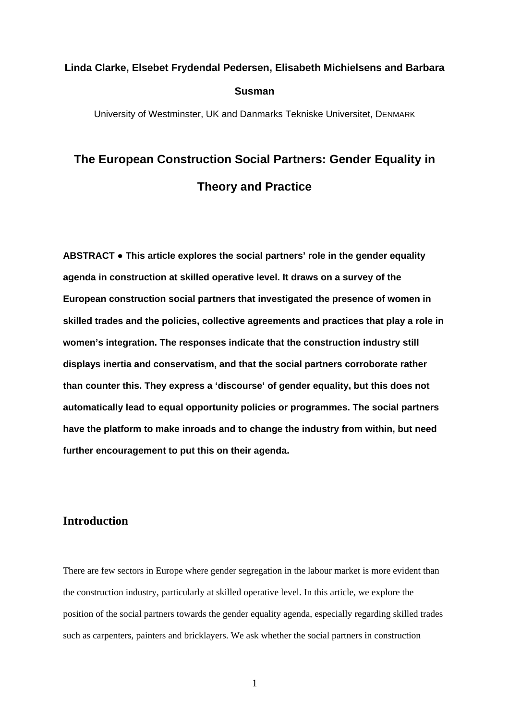# **Linda Clarke, Elsebet Frydendal Pedersen, Elisabeth Michielsens and Barbara Susman**

University of Westminster, UK and Danmarks Tekniske Universitet, DENMARK

# **The European Construction Social Partners: Gender Equality in Theory and Practice**

**ABSTRACT** ● **This article explores the social partners' role in the gender equality agenda in construction at skilled operative level. It draws on a survey of the European construction social partners that investigated the presence of women in skilled trades and the policies, collective agreements and practices that play a role in women's integration. The responses indicate that the construction industry still displays inertia and conservatism, and that the social partners corroborate rather than counter this. They express a 'discourse' of gender equality, but this does not automatically lead to equal opportunity policies or programmes. The social partners have the platform to make inroads and to change the industry from within, but need further encouragement to put this on their agenda.** 

### **Introduction**

There are few sectors in Europe where gender segregation in the labour market is more evident than the construction industry, particularly at skilled operative level. In this article, we explore the position of the social partners towards the gender equality agenda, especially regarding skilled trades such as carpenters, painters and bricklayers. We ask whether the social partners in construction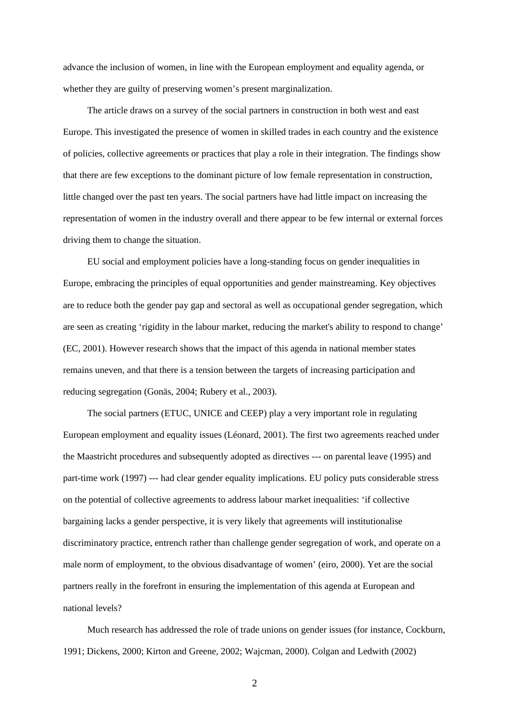advance the inclusion of women, in line with the European employment and equality agenda, or whether they are guilty of preserving women's present marginalization.

 The article draws on a survey of the social partners in construction in both west and east Europe. This investigated the presence of women in skilled trades in each country and the existence of policies, collective agreements or practices that play a role in their integration. The findings show that there are few exceptions to the dominant picture of low female representation in construction, little changed over the past ten years. The social partners have had little impact on increasing the representation of women in the industry overall and there appear to be few internal or external forces driving them to change the situation.

 EU social and employment policies have a long-standing focus on gender inequalities in Europe, embracing the principles of equal opportunities and gender mainstreaming. Key objectives are to reduce both the gender pay gap and sectoral as well as occupational gender segregation, which are seen as creating 'rigidity in the labour market, reducing the market's ability to respond to change' (EC, 2001). However research shows that the impact of this agenda in national member states remains uneven, and that there is a tension between the targets of increasing participation and reducing segregation (Gonäs, 2004; Rubery et al., 2003).

 The social partners (ETUC, UNICE and CEEP) play a very important role in regulating European employment and equality issues (Léonard, 2001). The first two agreements reached under the Maastricht procedures and subsequently adopted as directives --- on parental leave (1995) and part-time work (1997) --- had clear gender equality implications. EU policy puts considerable stress on the potential of collective agreements to address labour market inequalities: 'if collective bargaining lacks a gender perspective, it is very likely that agreements will institutionalise discriminatory practice, entrench rather than challenge gender segregation of work, and operate on a male norm of employment, to the obvious disadvantage of women' (eiro, 2000). Yet are the social partners really in the forefront in ensuring the implementation of this agenda at European and national levels?

 Much research has addressed the role of trade unions on gender issues (for instance, Cockburn, 1991; Dickens, 2000; Kirton and Greene, 2002; Wajcman, 2000). Colgan and Ledwith (2002)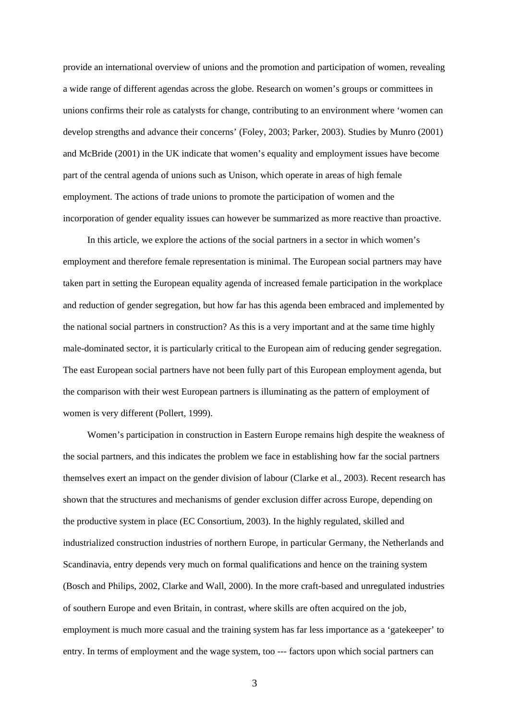provide an international overview of unions and the promotion and participation of women, revealing a wide range of different agendas across the globe. Research on women's groups or committees in unions confirms their role as catalysts for change, contributing to an environment where 'women can develop strengths and advance their concerns' (Foley, 2003; Parker, 2003). Studies by Munro (2001) and McBride (2001) in the UK indicate that women's equality and employment issues have become part of the central agenda of unions such as Unison, which operate in areas of high female employment. The actions of trade unions to promote the participation of women and the incorporation of gender equality issues can however be summarized as more reactive than proactive.

 In this article, we explore the actions of the social partners in a sector in which women's employment and therefore female representation is minimal. The European social partners may have taken part in setting the European equality agenda of increased female participation in the workplace and reduction of gender segregation, but how far has this agenda been embraced and implemented by the national social partners in construction? As this is a very important and at the same time highly male-dominated sector, it is particularly critical to the European aim of reducing gender segregation. The east European social partners have not been fully part of this European employment agenda, but the comparison with their west European partners is illuminating as the pattern of employment of women is very different (Pollert, 1999).

 Women's participation in construction in Eastern Europe remains high despite the weakness of the social partners, and this indicates the problem we face in establishing how far the social partners themselves exert an impact on the gender division of labour (Clarke et al., 2003). Recent research has shown that the structures and mechanisms of gender exclusion differ across Europe, depending on the productive system in place (EC Consortium, 2003). In the highly regulated, skilled and industrialized construction industries of northern Europe, in particular Germany, the Netherlands and Scandinavia, entry depends very much on formal qualifications and hence on the training system (Bosch and Philips, 2002, Clarke and Wall, 2000). In the more craft-based and unregulated industries of southern Europe and even Britain, in contrast, where skills are often acquired on the job, employment is much more casual and the training system has far less importance as a 'gatekeeper' to entry. In terms of employment and the wage system, too --- factors upon which social partners can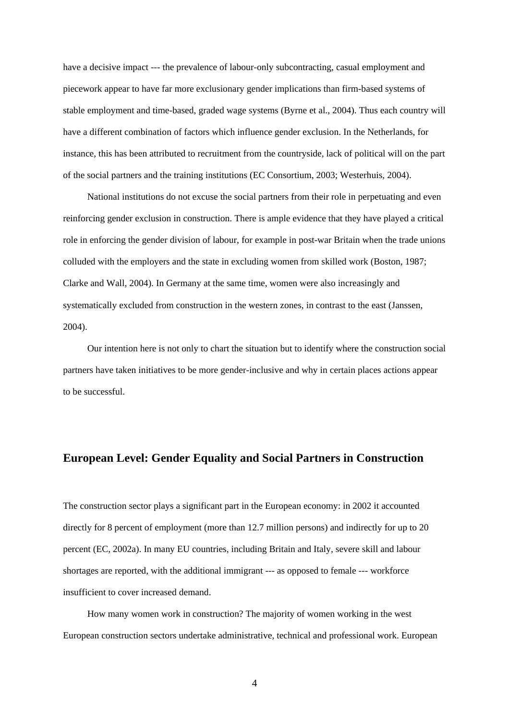have a decisive impact --- the prevalence of labour-only subcontracting, casual employment and piecework appear to have far more exclusionary gender implications than firm-based systems of stable employment and time-based, graded wage systems (Byrne et al., 2004). Thus each country will have a different combination of factors which influence gender exclusion. In the Netherlands, for instance, this has been attributed to recruitment from the countryside, lack of political will on the part of the social partners and the training institutions (EC Consortium, 2003; Westerhuis, 2004).

 National institutions do not excuse the social partners from their role in perpetuating and even reinforcing gender exclusion in construction. There is ample evidence that they have played a critical role in enforcing the gender division of labour, for example in post-war Britain when the trade unions colluded with the employers and the state in excluding women from skilled work (Boston, 1987; Clarke and Wall, 2004). In Germany at the same time, women were also increasingly and systematically excluded from construction in the western zones, in contrast to the east (Janssen, 2004).

 Our intention here is not only to chart the situation but to identify where the construction social partners have taken initiatives to be more gender-inclusive and why in certain places actions appear to be successful.

#### **European Level: Gender Equality and Social Partners in Construction**

The construction sector plays a significant part in the European economy: in 2002 it accounted directly for 8 percent of employment (more than 12.7 million persons) and indirectly for up to 20 percent (EC, 2002a). In many EU countries, including Britain and Italy, severe skill and labour shortages are reported, with the additional immigrant --- as opposed to female --- workforce insufficient to cover increased demand.

 How many women work in construction? The majority of women working in the west European construction sectors undertake administrative, technical and professional work. European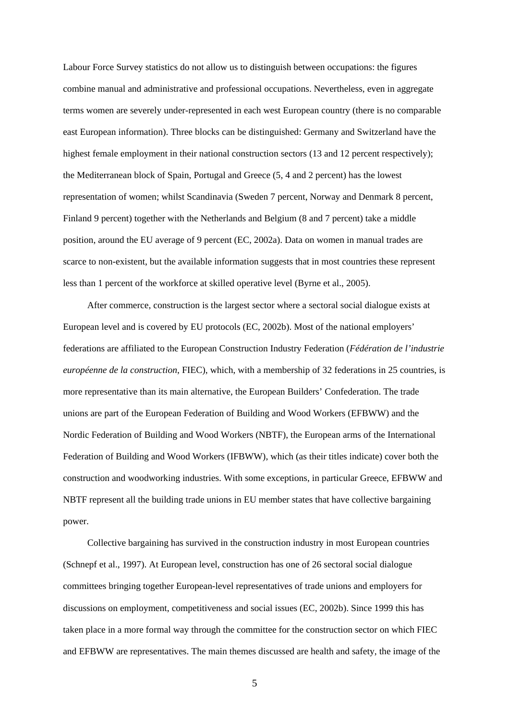Labour Force Survey statistics do not allow us to distinguish between occupations: the figures combine manual and administrative and professional occupations. Nevertheless, even in aggregate terms women are severely under-represented in each west European country (there is no comparable east European information). Three blocks can be distinguished: Germany and Switzerland have the highest female employment in their national construction sectors (13 and 12 percent respectively); the Mediterranean block of Spain, Portugal and Greece (5, 4 and 2 percent) has the lowest representation of women; whilst Scandinavia (Sweden 7 percent, Norway and Denmark 8 percent, Finland 9 percent) together with the Netherlands and Belgium (8 and 7 percent) take a middle position, around the EU average of 9 percent (EC, 2002a). Data on women in manual trades are scarce to non-existent, but the available information suggests that in most countries these represent less than 1 percent of the workforce at skilled operative level (Byrne et al., 2005).

 After commerce, construction is the largest sector where a sectoral social dialogue exists at European level and is covered by EU protocols (EC, 2002b). Most of the national employers' federations are affiliated to the European Construction Industry Federation (*Fédération de l'industrie européenne de la construction*, FIEC), which, with a membership of 32 federations in 25 countries, is more representative than its main alternative, the European Builders' Confederation. The trade unions are part of the European Federation of Building and Wood Workers (EFBWW) and the Nordic Federation of Building and Wood Workers (NBTF), the European arms of the International Federation of Building and Wood Workers (IFBWW), which (as their titles indicate) cover both the construction and woodworking industries. With some exceptions, in particular Greece, EFBWW and NBTF represent all the building trade unions in EU member states that have collective bargaining power.

 Collective bargaining has survived in the construction industry in most European countries (Schnepf et al., 1997). At European level, construction has one of 26 sectoral social dialogue committees bringing together European-level representatives of trade unions and employers for discussions on employment, competitiveness and social issues (EC, 2002b). Since 1999 this has taken place in a more formal way through the committee for the construction sector on which FIEC and EFBWW are representatives. The main themes discussed are health and safety, the image of the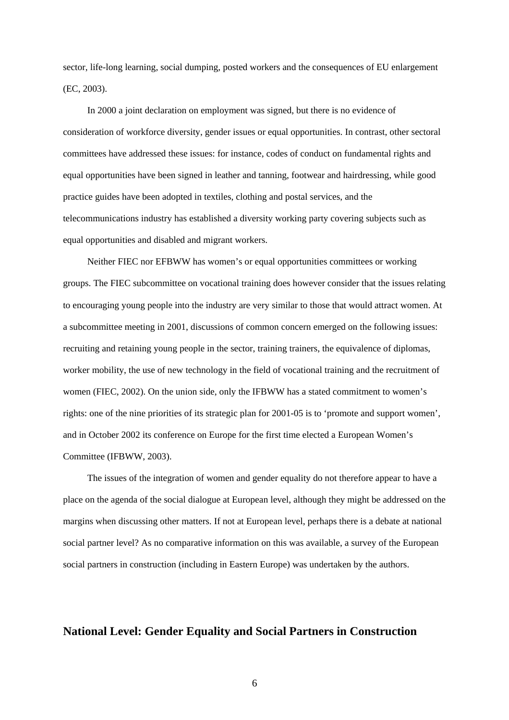sector, life-long learning, social dumping, posted workers and the consequences of EU enlargement (EC, 2003).

 In 2000 a joint declaration on employment was signed, but there is no evidence of consideration of workforce diversity, gender issues or equal opportunities. In contrast, other sectoral committees have addressed these issues: for instance, codes of conduct on fundamental rights and equal opportunities have been signed in leather and tanning, footwear and hairdressing, while good practice guides have been adopted in textiles, clothing and postal services, and the telecommunications industry has established a diversity working party covering subjects such as equal opportunities and disabled and migrant workers.

 Neither FIEC nor EFBWW has women's or equal opportunities committees or working groups. The FIEC subcommittee on vocational training does however consider that the issues relating to encouraging young people into the industry are very similar to those that would attract women. At a subcommittee meeting in 2001, discussions of common concern emerged on the following issues: recruiting and retaining young people in the sector, training trainers, the equivalence of diplomas, worker mobility, the use of new technology in the field of vocational training and the recruitment of women (FIEC, 2002). On the union side, only the IFBWW has a stated commitment to women's rights: one of the nine priorities of its strategic plan for 2001-05 is to 'promote and support women', and in October 2002 its conference on Europe for the first time elected a European Women's Committee (IFBWW, 2003).

 The issues of the integration of women and gender equality do not therefore appear to have a place on the agenda of the social dialogue at European level, although they might be addressed on the margins when discussing other matters. If not at European level, perhaps there is a debate at national social partner level? As no comparative information on this was available, a survey of the European social partners in construction (including in Eastern Europe) was undertaken by the authors.

### **National Level: Gender Equality and Social Partners in Construction**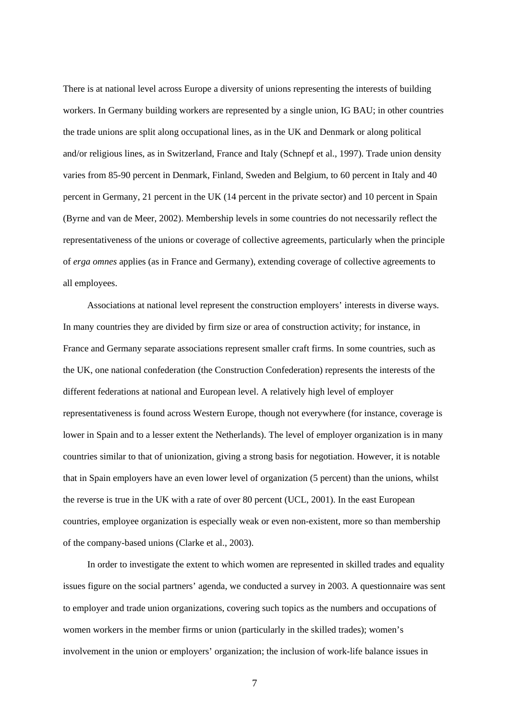There is at national level across Europe a diversity of unions representing the interests of building workers. In Germany building workers are represented by a single union, IG BAU; in other countries the trade unions are split along occupational lines, as in the UK and Denmark or along political and/or religious lines, as in Switzerland, France and Italy (Schnepf et al., 1997). Trade union density varies from 85-90 percent in Denmark, Finland, Sweden and Belgium, to 60 percent in Italy and 40 percent in Germany, 21 percent in the UK (14 percent in the private sector) and 10 percent in Spain (Byrne and van de Meer, 2002). Membership levels in some countries do not necessarily reflect the representativeness of the unions or coverage of collective agreements, particularly when the principle of *erga omnes* applies (as in France and Germany), extending coverage of collective agreements to all employees.

 Associations at national level represent the construction employers' interests in diverse ways. In many countries they are divided by firm size or area of construction activity; for instance, in France and Germany separate associations represent smaller craft firms. In some countries, such as the UK, one national confederation (the Construction Confederation) represents the interests of the different federations at national and European level. A relatively high level of employer representativeness is found across Western Europe, though not everywhere (for instance, coverage is lower in Spain and to a lesser extent the Netherlands). The level of employer organization is in many countries similar to that of unionization, giving a strong basis for negotiation. However, it is notable that in Spain employers have an even lower level of organization (5 percent) than the unions, whilst the reverse is true in the UK with a rate of over 80 percent (UCL, 2001). In the east European countries, employee organization is especially weak or even non-existent, more so than membership of the company-based unions (Clarke et al., 2003).

 In order to investigate the extent to which women are represented in skilled trades and equality issues figure on the social partners' agenda, we conducted a survey in 2003. A questionnaire was sent to employer and trade union organizations, covering such topics as the numbers and occupations of women workers in the member firms or union (particularly in the skilled trades); women's involvement in the union or employers' organization; the inclusion of work-life balance issues in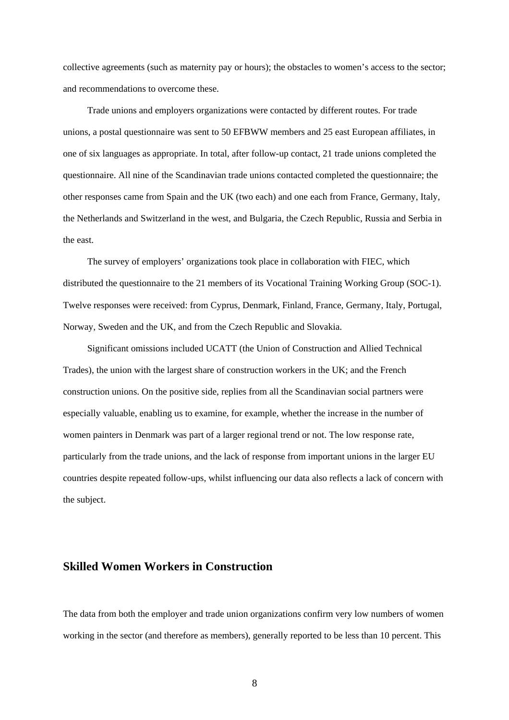collective agreements (such as maternity pay or hours); the obstacles to women's access to the sector; and recommendations to overcome these.

 Trade unions and employers organizations were contacted by different routes. For trade unions, a postal questionnaire was sent to 50 EFBWW members and 25 east European affiliates, in one of six languages as appropriate. In total, after follow-up contact, 21 trade unions completed the questionnaire. All nine of the Scandinavian trade unions contacted completed the questionnaire; the other responses came from Spain and the UK (two each) and one each from France, Germany, Italy, the Netherlands and Switzerland in the west, and Bulgaria, the Czech Republic, Russia and Serbia in the east.

 The survey of employers' organizations took place in collaboration with FIEC, which distributed the questionnaire to the 21 members of its Vocational Training Working Group (SOC-1). Twelve responses were received: from Cyprus, Denmark, Finland, France, Germany, Italy, Portugal, Norway, Sweden and the UK, and from the Czech Republic and Slovakia.

 Significant omissions included UCATT (the Union of Construction and Allied Technical Trades), the union with the largest share of construction workers in the UK; and the French construction unions. On the positive side, replies from all the Scandinavian social partners were especially valuable, enabling us to examine, for example, whether the increase in the number of women painters in Denmark was part of a larger regional trend or not. The low response rate, particularly from the trade unions, and the lack of response from important unions in the larger EU countries despite repeated follow-ups, whilst influencing our data also reflects a lack of concern with the subject.

### **Skilled Women Workers in Construction**

The data from both the employer and trade union organizations confirm very low numbers of women working in the sector (and therefore as members), generally reported to be less than 10 percent. This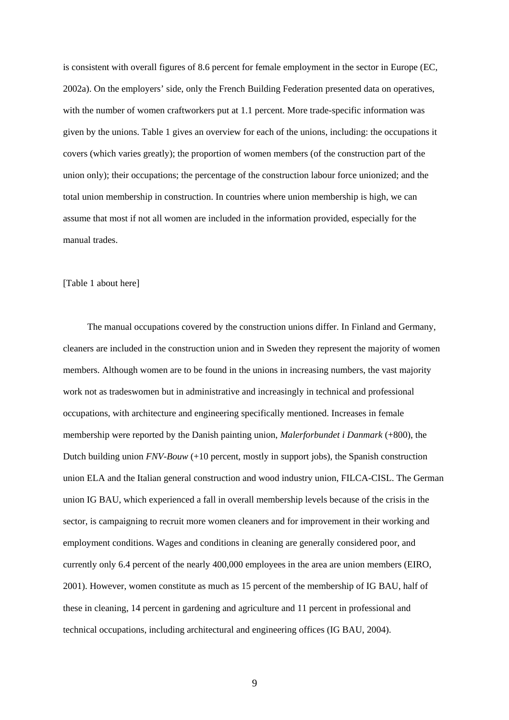is consistent with overall figures of 8.6 percent for female employment in the sector in Europe (EC, 2002a). On the employers' side, only the French Building Federation presented data on operatives, with the number of women craftworkers put at 1.1 percent. More trade-specific information was given by the unions. Table 1 gives an overview for each of the unions, including: the occupations it covers (which varies greatly); the proportion of women members (of the construction part of the union only); their occupations; the percentage of the construction labour force unionized; and the total union membership in construction. In countries where union membership is high, we can assume that most if not all women are included in the information provided, especially for the manual trades.

#### [Table 1 about here]

 The manual occupations covered by the construction unions differ. In Finland and Germany, cleaners are included in the construction union and in Sweden they represent the majority of women members. Although women are to be found in the unions in increasing numbers, the vast majority work not as tradeswomen but in administrative and increasingly in technical and professional occupations, with architecture and engineering specifically mentioned. Increases in female membership were reported by the Danish painting union, *Malerforbundet i Danmark* (+800), the Dutch building union *FNV-Bouw* (+10 percent, mostly in support jobs), the Spanish construction union ELA and the Italian general construction and wood industry union, FILCA-CISL. The German union IG BAU, which experienced a fall in overall membership levels because of the crisis in the sector, is campaigning to recruit more women cleaners and for improvement in their working and employment conditions. Wages and conditions in cleaning are generally considered poor, and currently only 6.4 percent of the nearly 400,000 employees in the area are union members (EIRO, 2001). However, women constitute as much as 15 percent of the membership of IG BAU, half of these in cleaning, 14 percent in gardening and agriculture and 11 percent in professional and technical occupations, including architectural and engineering offices (IG BAU, 2004).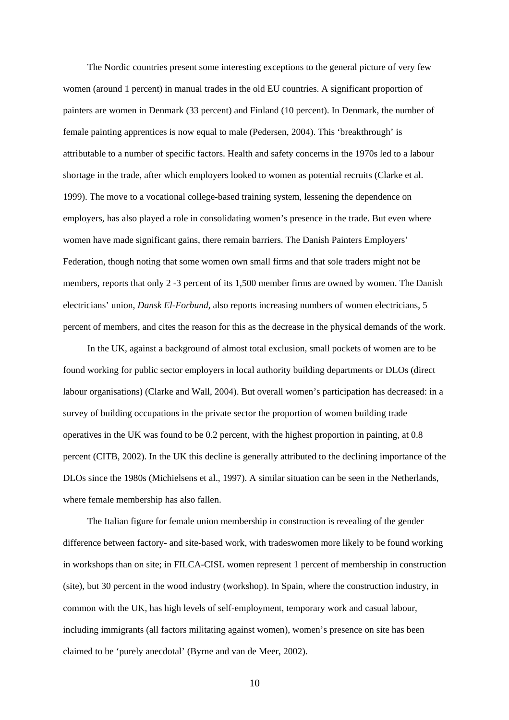The Nordic countries present some interesting exceptions to the general picture of very few women (around 1 percent) in manual trades in the old EU countries. A significant proportion of painters are women in Denmark (33 percent) and Finland (10 percent). In Denmark, the number of female painting apprentices is now equal to male (Pedersen, 2004). This 'breakthrough' is attributable to a number of specific factors. Health and safety concerns in the 1970s led to a labour shortage in the trade, after which employers looked to women as potential recruits (Clarke et al. 1999). The move to a vocational college-based training system, lessening the dependence on employers, has also played a role in consolidating women's presence in the trade. But even where women have made significant gains, there remain barriers. The Danish Painters Employers' Federation, though noting that some women own small firms and that sole traders might not be members, reports that only 2 -3 percent of its 1,500 member firms are owned by women. The Danish electricians' union, *Dansk El-Forbund*, also reports increasing numbers of women electricians, 5 percent of members, and cites the reason for this as the decrease in the physical demands of the work.

 In the UK, against a background of almost total exclusion, small pockets of women are to be found working for public sector employers in local authority building departments or DLOs (direct labour organisations) (Clarke and Wall, 2004). But overall women's participation has decreased: in a survey of building occupations in the private sector the proportion of women building trade operatives in the UK was found to be 0.2 percent, with the highest proportion in painting, at 0.8 percent (CITB, 2002). In the UK this decline is generally attributed to the declining importance of the DLOs since the 1980s (Michielsens et al., 1997). A similar situation can be seen in the Netherlands, where female membership has also fallen.

 The Italian figure for female union membership in construction is revealing of the gender difference between factory- and site-based work, with tradeswomen more likely to be found working in workshops than on site; in FILCA-CISL women represent 1 percent of membership in construction (site), but 30 percent in the wood industry (workshop). In Spain, where the construction industry, in common with the UK, has high levels of self-employment, temporary work and casual labour, including immigrants (all factors militating against women), women's presence on site has been claimed to be 'purely anecdotal' (Byrne and van de Meer, 2002).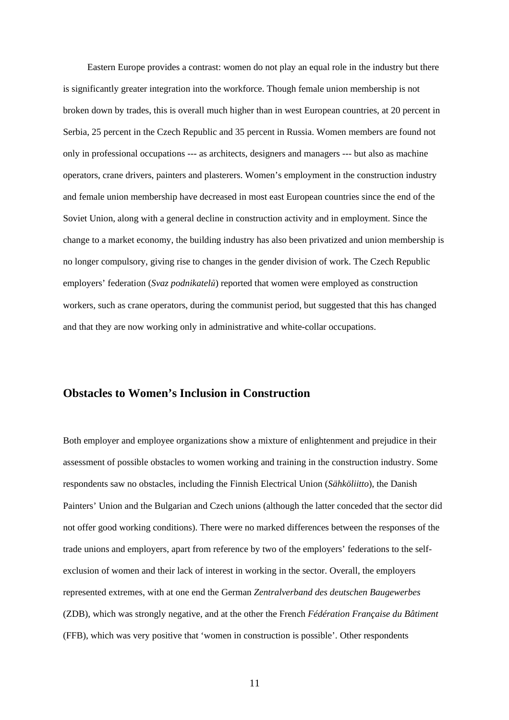Eastern Europe provides a contrast: women do not play an equal role in the industry but there is significantly greater integration into the workforce. Though female union membership is not broken down by trades, this is overall much higher than in west European countries, at 20 percent in Serbia, 25 percent in the Czech Republic and 35 percent in Russia. Women members are found not only in professional occupations --- as architects, designers and managers --- but also as machine operators, crane drivers, painters and plasterers. Women's employment in the construction industry and female union membership have decreased in most east European countries since the end of the Soviet Union, along with a general decline in construction activity and in employment. Since the change to a market economy, the building industry has also been privatized and union membership is no longer compulsory, giving rise to changes in the gender division of work. The Czech Republic employers' federation (*Svaz podnikatel*ů) reported that women were employed as construction workers, such as crane operators, during the communist period, but suggested that this has changed and that they are now working only in administrative and white-collar occupations.

#### **Obstacles to Women's Inclusion in Construction**

Both employer and employee organizations show a mixture of enlightenment and prejudice in their assessment of possible obstacles to women working and training in the construction industry. Some respondents saw no obstacles, including the Finnish Electrical Union (*Sähköliitto*), the Danish Painters' Union and the Bulgarian and Czech unions (although the latter conceded that the sector did not offer good working conditions). There were no marked differences between the responses of the trade unions and employers, apart from reference by two of the employers' federations to the selfexclusion of women and their lack of interest in working in the sector. Overall, the employers represented extremes, with at one end the German *Zentralverband des deutschen Baugewerbes*  (ZDB), which was strongly negative, and at the other the French *Fédération Française du Bâtiment*  (FFB), which was very positive that 'women in construction is possible'. Other respondents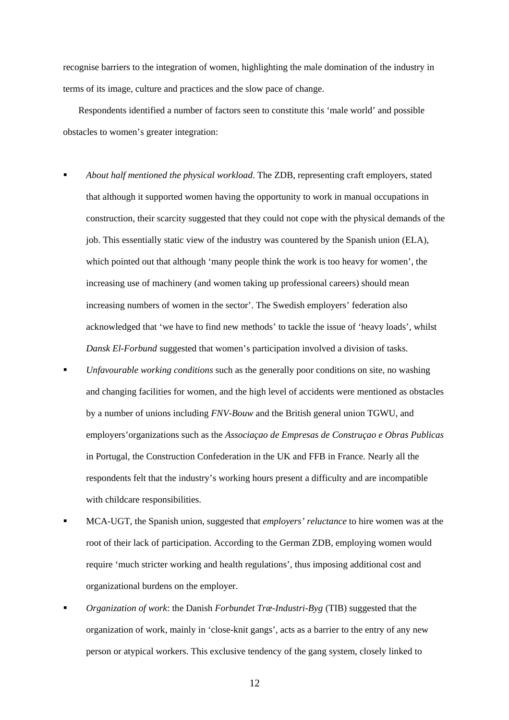recognise barriers to the integration of women, highlighting the male domination of the industry in terms of its image, culture and practices and the slow pace of change.

 Respondents identified a number of factors seen to constitute this 'male world' and possible obstacles to women's greater integration:

- *About half mentioned the physical workload*. The ZDB, representing craft employers, stated that although it supported women having the opportunity to work in manual occupations in construction, their scarcity suggested that they could not cope with the physical demands of the job. This essentially static view of the industry was countered by the Spanish union (ELA), which pointed out that although 'many people think the work is too heavy for women', the increasing use of machinery (and women taking up professional careers) should mean increasing numbers of women in the sector'. The Swedish employers' federation also acknowledged that 'we have to find new methods' to tackle the issue of 'heavy loads', whilst *Dansk El-Forbund* suggested that women's participation involved a division of tasks.
- *Unfavourable working conditions* such as the generally poor conditions on site, no washing and changing facilities for women, and the high level of accidents were mentioned as obstacles by a number of unions including *FNV-Bouw* and the British general union TGWU, and employers'organizations such as the *Associaçao de Empresas de Construçao e Obras Publicas* in Portugal, the Construction Confederation in the UK and FFB in France. Nearly all the respondents felt that the industry's working hours present a difficulty and are incompatible with childcare responsibilities.
- MCA-UGT, the Spanish union, suggested that *employers' reluctance* to hire women was at the root of their lack of participation. According to the German ZDB, employing women would require 'much stricter working and health regulations', thus imposing additional cost and organizational burdens on the employer.
- *Organization of work*: the Danish *Forbundet Træ-Industri-Byg* (TIB) suggested that the organization of work, mainly in 'close-knit gangs', acts as a barrier to the entry of any new person or atypical workers. This exclusive tendency of the gang system, closely linked to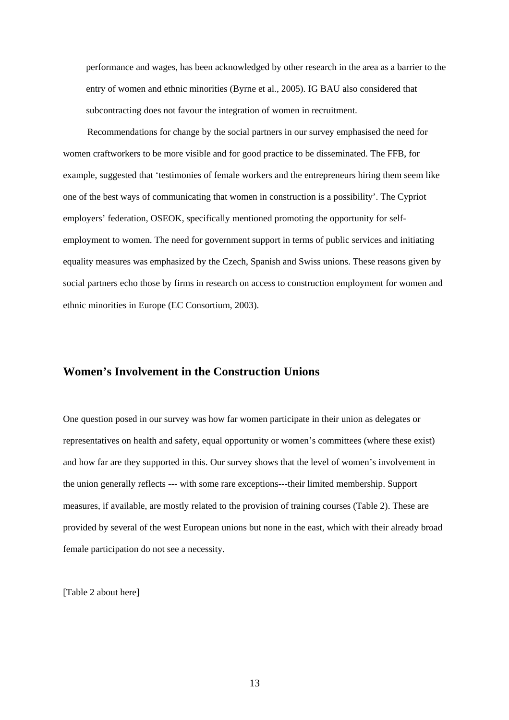performance and wages, has been acknowledged by other research in the area as a barrier to the entry of women and ethnic minorities (Byrne et al., 2005). IG BAU also considered that subcontracting does not favour the integration of women in recruitment.

 Recommendations for change by the social partners in our survey emphasised the need for women craftworkers to be more visible and for good practice to be disseminated. The FFB, for example, suggested that 'testimonies of female workers and the entrepreneurs hiring them seem like one of the best ways of communicating that women in construction is a possibility'. The Cypriot employers' federation, OSEOK, specifically mentioned promoting the opportunity for selfemployment to women. The need for government support in terms of public services and initiating equality measures was emphasized by the Czech, Spanish and Swiss unions. These reasons given by social partners echo those by firms in research on access to construction employment for women and ethnic minorities in Europe (EC Consortium, 2003).

#### **Women's Involvement in the Construction Unions**

One question posed in our survey was how far women participate in their union as delegates or representatives on health and safety, equal opportunity or women's committees (where these exist) and how far are they supported in this. Our survey shows that the level of women's involvement in the union generally reflects --- with some rare exceptions---their limited membership. Support measures, if available, are mostly related to the provision of training courses (Table 2). These are provided by several of the west European unions but none in the east, which with their already broad female participation do not see a necessity.

[Table 2 about here]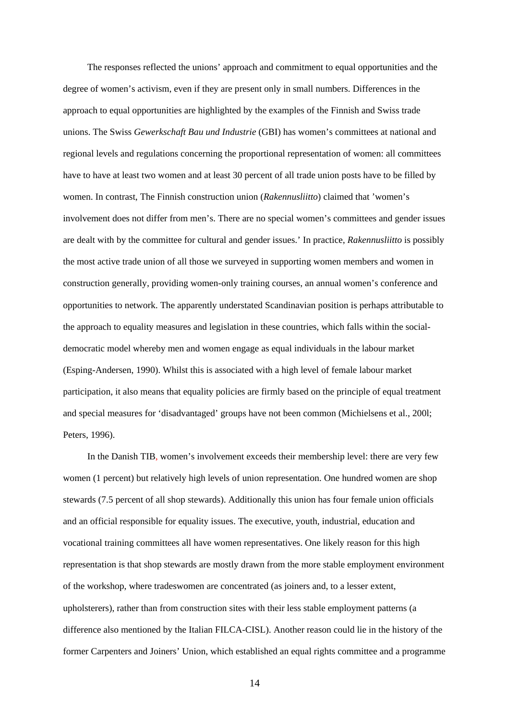The responses reflected the unions' approach and commitment to equal opportunities and the degree of women's activism, even if they are present only in small numbers. Differences in the approach to equal opportunities are highlighted by the examples of the Finnish and Swiss trade unions. The Swiss *Gewerkschaft Bau und Industrie* (GBI) has women's committees at national and regional levels and regulations concerning the proportional representation of women: all committees have to have at least two women and at least 30 percent of all trade union posts have to be filled by women. In contrast, The Finnish construction union (*Rakennusliitto*) claimed that 'women's involvement does not differ from men's. There are no special women's committees and gender issues are dealt with by the committee for cultural and gender issues.' In practice, *Rakennusliitto* is possibly the most active trade union of all those we surveyed in supporting women members and women in construction generally, providing women-only training courses, an annual women's conference and opportunities to network. The apparently understated Scandinavian position is perhaps attributable to the approach to equality measures and legislation in these countries, which falls within the socialdemocratic model whereby men and women engage as equal individuals in the labour market (Esping-Andersen, 1990). Whilst this is associated with a high level of female labour market participation, it also means that equality policies are firmly based on the principle of equal treatment and special measures for 'disadvantaged' groups have not been common (Michielsens et al., 200l; Peters, 1996).

 In the Danish TIB, women's involvement exceeds their membership level: there are very few women (1 percent) but relatively high levels of union representation. One hundred women are shop stewards (7.5 percent of all shop stewards). Additionally this union has four female union officials and an official responsible for equality issues. The executive, youth, industrial, education and vocational training committees all have women representatives. One likely reason for this high representation is that shop stewards are mostly drawn from the more stable employment environment of the workshop, where tradeswomen are concentrated (as joiners and, to a lesser extent, upholsterers), rather than from construction sites with their less stable employment patterns (a difference also mentioned by the Italian FILCA-CISL). Another reason could lie in the history of the former Carpenters and Joiners' Union, which established an equal rights committee and a programme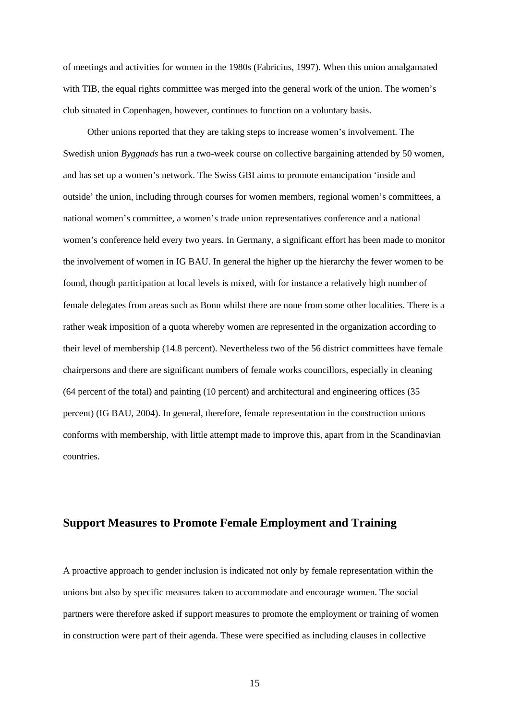of meetings and activities for women in the 1980s (Fabricius, 1997). When this union amalgamated with TIB, the equal rights committee was merged into the general work of the union. The women's club situated in Copenhagen, however, continues to function on a voluntary basis.

 Other unions reported that they are taking steps to increase women's involvement. The Swedish union *Byggnads* has run a two-week course on collective bargaining attended by 50 women, and has set up a women's network. The Swiss GBI aims to promote emancipation 'inside and outside' the union, including through courses for women members, regional women's committees, a national women's committee, a women's trade union representatives conference and a national women's conference held every two years. In Germany, a significant effort has been made to monitor the involvement of women in IG BAU. In general the higher up the hierarchy the fewer women to be found, though participation at local levels is mixed, with for instance a relatively high number of female delegates from areas such as Bonn whilst there are none from some other localities. There is a rather weak imposition of a quota whereby women are represented in the organization according to their level of membership (14.8 percent). Nevertheless two of the 56 district committees have female chairpersons and there are significant numbers of female works councillors, especially in cleaning (64 percent of the total) and painting (10 percent) and architectural and engineering offices (35 percent) (IG BAU, 2004). In general, therefore, female representation in the construction unions conforms with membership, with little attempt made to improve this, apart from in the Scandinavian countries.

#### **Support Measures to Promote Female Employment and Training**

A proactive approach to gender inclusion is indicated not only by female representation within the unions but also by specific measures taken to accommodate and encourage women. The social partners were therefore asked if support measures to promote the employment or training of women in construction were part of their agenda. These were specified as including clauses in collective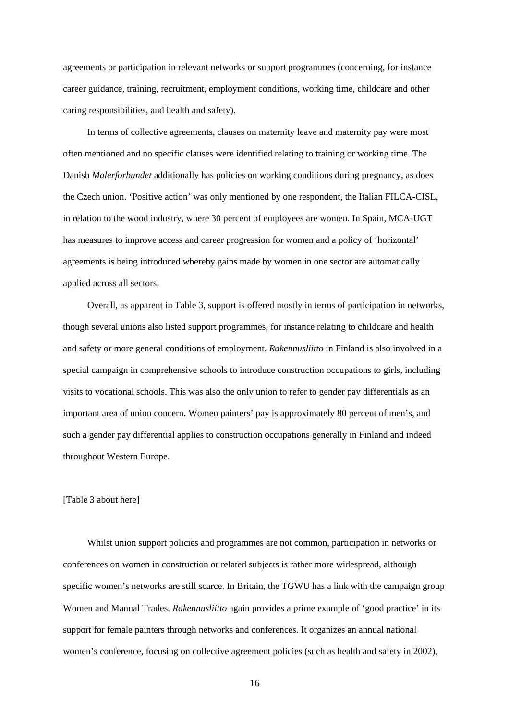agreements or participation in relevant networks or support programmes (concerning, for instance career guidance, training, recruitment, employment conditions, working time, childcare and other caring responsibilities, and health and safety).

 In terms of collective agreements, clauses on maternity leave and maternity pay were most often mentioned and no specific clauses were identified relating to training or working time. The Danish *Malerforbundet* additionally has policies on working conditions during pregnancy, as does the Czech union. 'Positive action' was only mentioned by one respondent, the Italian FILCA-CISL, in relation to the wood industry, where 30 percent of employees are women. In Spain, MCA-UGT has measures to improve access and career progression for women and a policy of 'horizontal' agreements is being introduced whereby gains made by women in one sector are automatically applied across all sectors.

 Overall, as apparent in Table 3, support is offered mostly in terms of participation in networks, though several unions also listed support programmes, for instance relating to childcare and health and safety or more general conditions of employment. *Rakennusliitto* in Finland is also involved in a special campaign in comprehensive schools to introduce construction occupations to girls, including visits to vocational schools. This was also the only union to refer to gender pay differentials as an important area of union concern. Women painters' pay is approximately 80 percent of men's, and such a gender pay differential applies to construction occupations generally in Finland and indeed throughout Western Europe.

#### [Table 3 about here]

 Whilst union support policies and programmes are not common, participation in networks or conferences on women in construction or related subjects is rather more widespread, although specific women's networks are still scarce. In Britain, the TGWU has a link with the campaign group Women and Manual Trades. *Rakennusliitto* again provides a prime example of 'good practice' in its support for female painters through networks and conferences. It organizes an annual national women's conference, focusing on collective agreement policies (such as health and safety in 2002),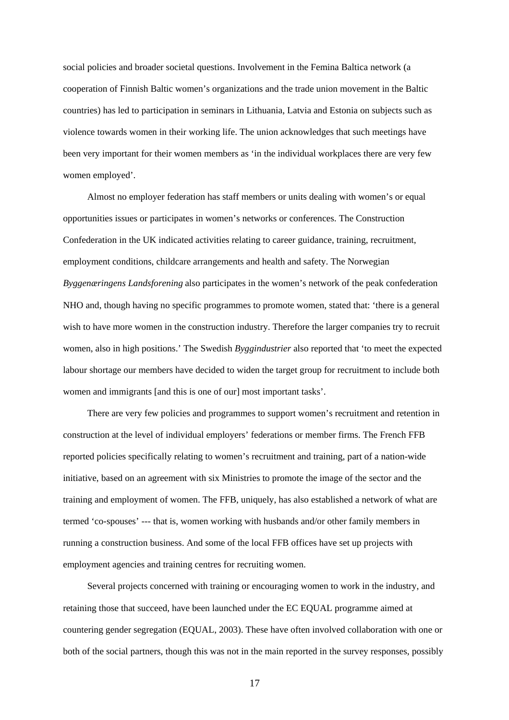social policies and broader societal questions. Involvement in the Femina Baltica network (a cooperation of Finnish Baltic women's organizations and the trade union movement in the Baltic countries) has led to participation in seminars in Lithuania, Latvia and Estonia on subjects such as violence towards women in their working life. The union acknowledges that such meetings have been very important for their women members as 'in the individual workplaces there are very few women employed'.

 Almost no employer federation has staff members or units dealing with women's or equal opportunities issues or participates in women's networks or conferences. The Construction Confederation in the UK indicated activities relating to career guidance, training, recruitment, employment conditions, childcare arrangements and health and safety. The Norwegian *Byggenæringens Landsforening* also participates in the women's network of the peak confederation NHO and, though having no specific programmes to promote women, stated that: 'there is a general wish to have more women in the construction industry. Therefore the larger companies try to recruit women, also in high positions.' The Swedish *Byggindustrier* also reported that 'to meet the expected labour shortage our members have decided to widen the target group for recruitment to include both women and immigrants [and this is one of our] most important tasks'.

 There are very few policies and programmes to support women's recruitment and retention in construction at the level of individual employers' federations or member firms. The French FFB reported policies specifically relating to women's recruitment and training, part of a nation-wide initiative, based on an agreement with six Ministries to promote the image of the sector and the training and employment of women. The FFB, uniquely, has also established a network of what are termed 'co-spouses' --- that is, women working with husbands and/or other family members in running a construction business. And some of the local FFB offices have set up projects with employment agencies and training centres for recruiting women.

 Several projects concerned with training or encouraging women to work in the industry, and retaining those that succeed, have been launched under the EC EQUAL programme aimed at countering gender segregation (EQUAL, 2003). These have often involved collaboration with one or both of the social partners, though this was not in the main reported in the survey responses, possibly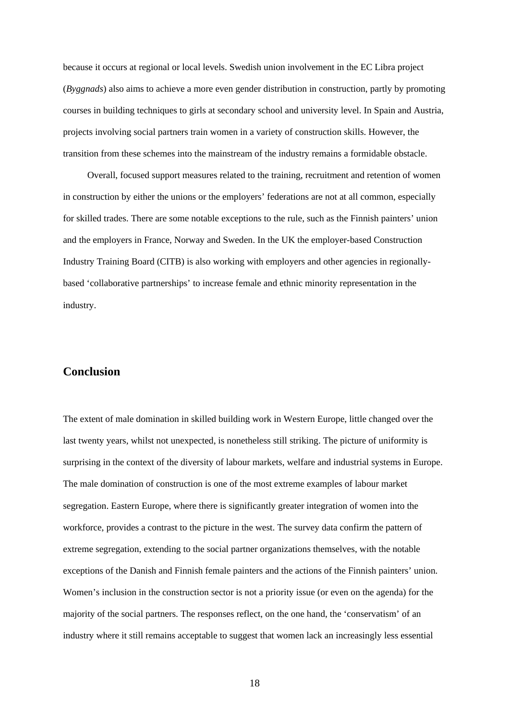because it occurs at regional or local levels. Swedish union involvement in the EC Libra project (*Byggnads*) also aims to achieve a more even gender distribution in construction, partly by promoting courses in building techniques to girls at secondary school and university level. In Spain and Austria, projects involving social partners train women in a variety of construction skills. However, the transition from these schemes into the mainstream of the industry remains a formidable obstacle.

 Overall, focused support measures related to the training, recruitment and retention of women in construction by either the unions or the employers' federations are not at all common, especially for skilled trades. There are some notable exceptions to the rule, such as the Finnish painters' union and the employers in France, Norway and Sweden. In the UK the employer-based Construction Industry Training Board (CITB) is also working with employers and other agencies in regionallybased 'collaborative partnerships' to increase female and ethnic minority representation in the industry.

## **Conclusion**

The extent of male domination in skilled building work in Western Europe, little changed over the last twenty years, whilst not unexpected, is nonetheless still striking. The picture of uniformity is surprising in the context of the diversity of labour markets, welfare and industrial systems in Europe. The male domination of construction is one of the most extreme examples of labour market segregation. Eastern Europe, where there is significantly greater integration of women into the workforce, provides a contrast to the picture in the west. The survey data confirm the pattern of extreme segregation, extending to the social partner organizations themselves, with the notable exceptions of the Danish and Finnish female painters and the actions of the Finnish painters' union. Women's inclusion in the construction sector is not a priority issue (or even on the agenda) for the majority of the social partners. The responses reflect, on the one hand, the 'conservatism' of an industry where it still remains acceptable to suggest that women lack an increasingly less essential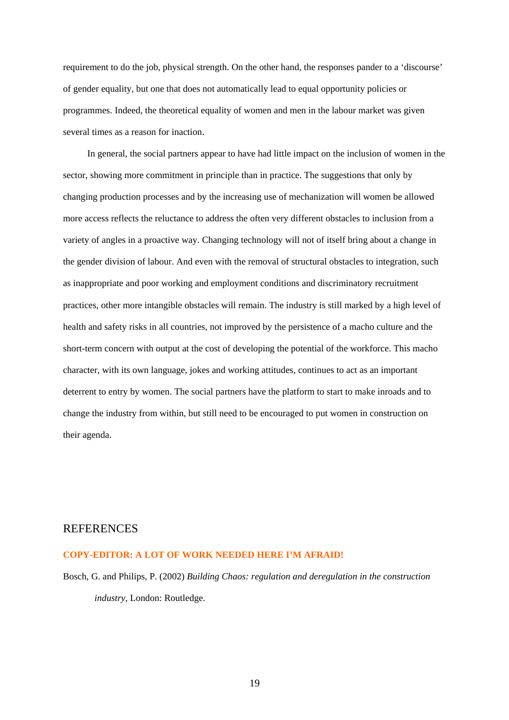requirement to do the job, physical strength. On the other hand, the responses pander to a 'discourse' of gender equality, but one that does not automatically lead to equal opportunity policies or programmes. Indeed, the theoretical equality of women and men in the labour market was given several times as a reason for inaction.

 In general, the social partners appear to have had little impact on the inclusion of women in the sector, showing more commitment in principle than in practice. The suggestions that only by changing production processes and by the increasing use of mechanization will women be allowed more access reflects the reluctance to address the often very different obstacles to inclusion from a variety of angles in a proactive way. Changing technology will not of itself bring about a change in the gender division of labour. And even with the removal of structural obstacles to integration, such as inappropriate and poor working and employment conditions and discriminatory recruitment practices, other more intangible obstacles will remain. The industry is still marked by a high level of health and safety risks in all countries, not improved by the persistence of a macho culture and the short-term concern with output at the cost of developing the potential of the workforce. This macho character, with its own language, jokes and working attitudes, continues to act as an important deterrent to entry by women. The social partners have the platform to start to make inroads and to change the industry from within, but still need to be encouraged to put women in construction on their agenda.

#### **REFERENCES**

#### **COPY-EDITOR: A LOT OF WORK NEEDED HERE I'M AFRAID!**

Bosch, G. and Philips, P. (2002) *Building Chaos: regulation and deregulation in the construction industry*, London: Routledge.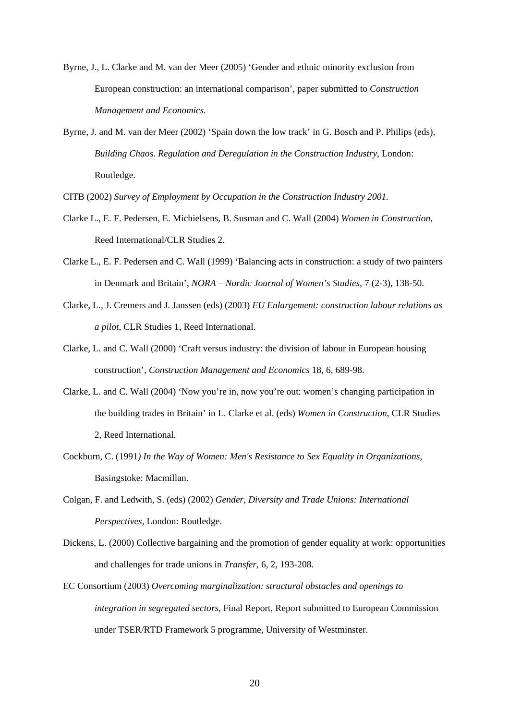- Byrne, J., L. Clarke and M. van der Meer (2005) 'Gender and ethnic minority exclusion from European construction: an international comparison', paper submitted to *Construction Management and Economics.*
- Byrne, J. and M. van der Meer (2002) 'Spain down the low track' in G. Bosch and P. Philips (eds), *Building Chaos. Regulation and Deregulation in the Construction Industry*, London: Routledge.

CITB (2002) *Survey of Employment by Occupation in the Construction Industry 2001.* 

- Clarke L., E. F. Pedersen, E. Michielsens, B. Susman and C. Wall (2004) *Women in Construction,*  Reed International/CLR Studies 2.
- Clarke L., E. F. Pedersen and C. Wall (1999) 'Balancing acts in construction: a study of two painters in Denmark and Britain', *NORA – Nordic Journal of Women's Studies*, 7 (2-3), 138-50.
- Clarke, L., J. Cremers and J. Janssen (eds) (2003) *EU Enlargement: construction labour relations as a pilot*, CLR Studies 1, Reed International.
- Clarke, L. and C. Wall (2000) 'Craft versus industry: the division of labour in European housing construction', *Construction Management and Economics* 18, 6, 689-98.
- Clarke, L. and C. Wall (2004) 'Now you're in, now you're out: women's changing participation in the building trades in Britain' in L. Clarke et al. (eds) *Women in Construction*, CLR Studies 2, Reed International.
- Cockburn, C. (1991*) In the Way of Women: Men's Resistance to Sex Equality in Organizations*, Basingstoke: Macmillan.
- Colgan, F. and Ledwith, S. (eds) (2002) *Gender, Diversity and Trade Unions: International Perspectives*, London: Routledge.
- Dickens, L. (2000) Collective bargaining and the promotion of gender equality at work: opportunities and challenges for trade unions in *Transfer,* 6, 2, 193-208.
- EC Consortium (2003) *Overcoming marginalization: structural obstacles and openings to integration in segregated sectors*, Final Report, Report submitted to European Commission under TSER/RTD Framework 5 programme, University of Westminster.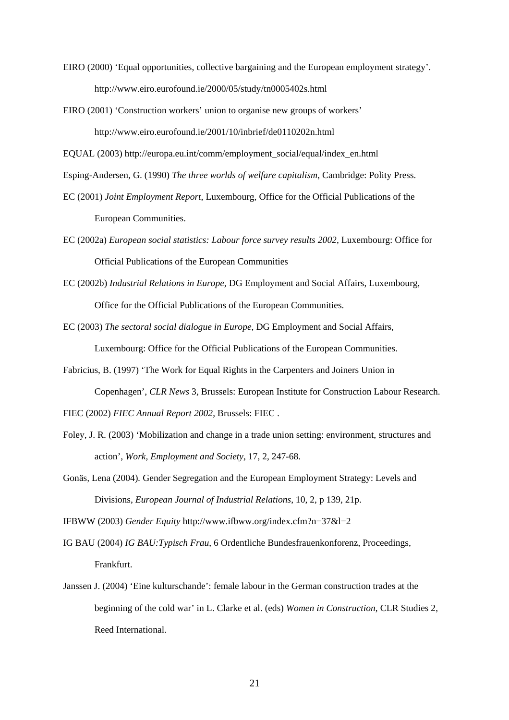- EIRO (2000) 'Equal opportunities, collective bargaining and the European employment strategy'. http://www.eiro.eurofound.ie/2000/05/study/tn0005402s.html
- EIRO (2001) 'Construction workers' union to organise new groups of workers' http://www.eiro.eurofound.ie/2001/10/inbrief/de0110202n.html

EQUAL (2003) http://europa.eu.int/comm/employment\_social/equal/index\_en.html

Esping-Andersen, G. (1990) *The three worlds of welfare capitalism*, Cambridge: Polity Press.

- EC (2001) *Joint Employment Report*, Luxembourg, Office for the Official Publications of the European Communities.
- EC (2002a) *European social statistics: Labour force survey results 2002*, Luxembourg: Office for Official Publications of the European Communities
- EC (2002b) *Industrial Relations in Europe*, DG Employment and Social Affairs, Luxembourg, Office for the Official Publications of the European Communities.
- EC (2003) *The sectoral social dialogue in Europe*, DG Employment and Social Affairs, Luxembourg: Office for the Official Publications of the European Communities.
- Fabricius, B. (1997) 'The Work for Equal Rights in the Carpenters and Joiners Union in Copenhagen', *CLR News* 3, Brussels: European Institute for Construction Labour Research.
- FIEC (2002) *FIEC Annual Report 2002*, Brussels: FIEC .
- Foley, J. R. (2003) 'Mobilization and change in a trade union setting: environment, structures and action', *Work, Employment and Society*, 17, 2, 247-68.
- Gonäs*,* Lena (2004)*.* Gender Segregation and the European Employment Strategy: Levels and Divisions, *European Journal of Industrial Relations*, 10, 2, p 139, 21p.

IFBWW (2003) *Gender Equity* http://www.ifbww.org/index.cfm?n=37&l=2

IG BAU (2004) *IG BAU:Typisch Frau*, 6 Ordentliche Bundesfrauenkonforenz, Proceedings, Frankfurt.

Janssen J. (2004) 'Eine kulturschande': female labour in the German construction trades at the beginning of the cold war' in L. Clarke et al. (eds) *Women in Construction*, CLR Studies 2, Reed International.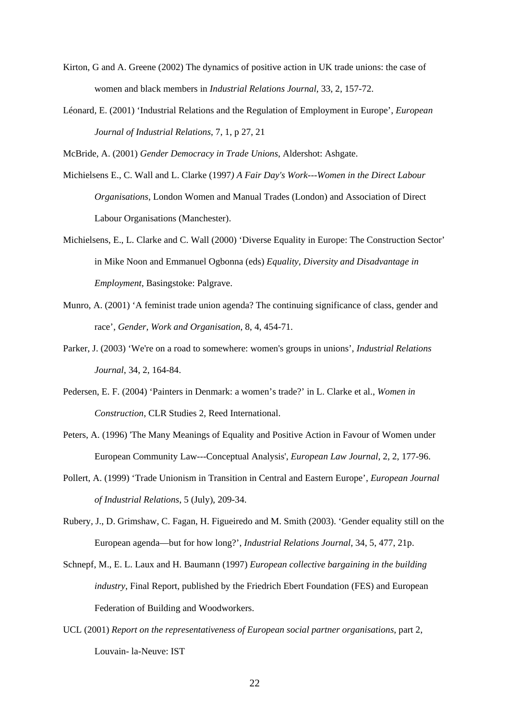- Kirton, G and A. Greene (2002) The dynamics of positive action in UK trade unions: the case of women and black members in *Industrial Relations Journal*, 33, 2, 157-72.
- Léonard*,* E. (2001) 'Industrial Relations and the Regulation of Employment in Europe', *European Journal of Industrial Relations*, 7, 1, p 27, 21

McBride, A. (2001) *Gender Democracy in Trade Unions*, Aldershot: Ashgate.

- Michielsens E., C. Wall and L. Clarke (1997*) A Fair Day's Work---Women in the Direct Labour Organisations*, London Women and Manual Trades (London) and Association of Direct Labour Organisations (Manchester).
- Michielsens, E., L. Clarke and C. Wall (2000) 'Diverse Equality in Europe: The Construction Sector' in Mike Noon and Emmanuel Ogbonna (eds) *Equality, Diversity and Disadvantage in Employment*, Basingstoke: Palgrave.
- Munro, A. (2001) 'A feminist trade union agenda? The continuing significance of class, gender and race', *Gender, Work and Organisation*, 8, 4, 454-71.
- Parker, J. (2003) 'We're on a road to somewhere: women's groups in unions', *Industrial Relations Journal*, 34, 2, 164-84.
- Pedersen, E. F. (2004) 'Painters in Denmark: a women's trade?' in L. Clarke et al., *Women in Construction*, CLR Studies 2, Reed International.
- Peters, A. (1996) 'The Many Meanings of Equality and Positive Action in Favour of Women under European Community Law---Conceptual Analysis', *European Law Journal*, 2, 2, 177-96.
- Pollert, A. (1999) 'Trade Unionism in Transition in Central and Eastern Europe', *European Journal of Industrial Relations*, 5 (July), 209-34.
- Rubery*,* J., D. Grimshaw, C. Fagan, H. Figueiredo and M. Smith (2003). 'Gender equality still on the European agenda—but for how long?', *Industrial Relations Journal*, 34, 5, 477, 21p.
- Schnepf, M., E. L. Laux and H. Baumann (1997) *European collective bargaining in the building industry*, Final Report, published by the Friedrich Ebert Foundation (FES) and European Federation of Building and Woodworkers.
- UCL (2001) *Report on the representativeness of European social partner organisations*, part 2, Louvain- la-Neuve: IST